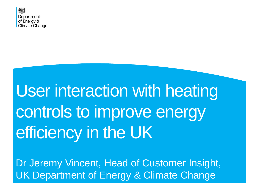

# User interaction with heating controls to improve energy efficiency in the UK

Dr Jeremy Vincent, Head of Customer Insight, UK Department of Energy & Climate Change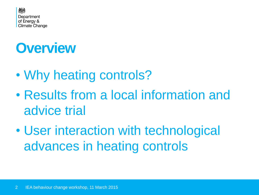

## **Overview**

- Why heating controls?
- Results from a local information and advice trial
- User interaction with technological advances in heating controls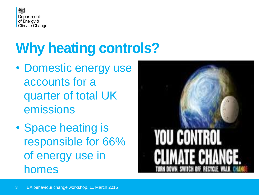

# **Why heating controls?**

- Domestic energy use accounts for a quarter of total UK emissions
- Space heating is responsible for 66% of energy use in homes

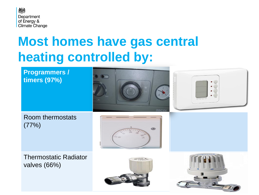

#### **Most homes have gas central heating controlled by:**



Thermostatic Radiator valves (66%)



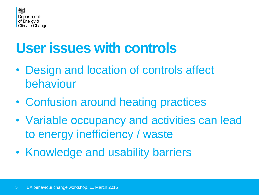

## **User issues with controls**

- Design and location of controls affect behaviour
- Confusion around heating practices
- Variable occupancy and activities can lead to energy inefficiency / waste
- Knowledge and usability barriers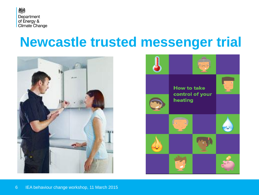

#### **Newcastle trusted messenger trial**



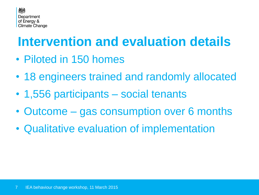

#### **Intervention and evaluation details**

- Piloted in 150 homes
- 18 engineers trained and randomly allocated
- 1,556 participants social tenants
- Outcome gas consumption over 6 months
- Qualitative evaluation of implementation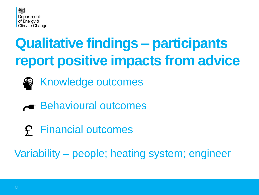

# **Qualitative findings – participants report positive impacts from advice**



- Knowledge outcomes
- **Example: Behavioural outcomes**
- Financial outcomes

Variability – people; heating system; engineer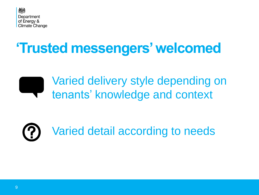

## **'Trusted messengers' welcomed**



Varied delivery style depending on tenants' knowledge and context

# Varied detail according to needs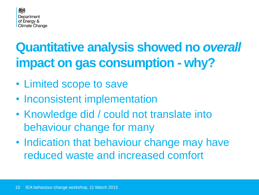

## **Quantitative analysis showed no** *overall* **impact on gas consumption - why?**

- Limited scope to save
- Inconsistent implementation
- Knowledge did / could not translate into behaviour change for many
- Indication that behaviour change may have reduced waste and increased comfort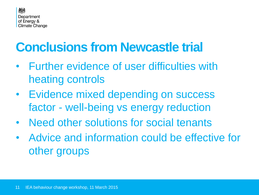

#### **Conclusions from Newcastle trial**

- Further evidence of user difficulties with heating controls
- Evidence mixed depending on success factor - well-being vs energy reduction
- Need other solutions for social tenants
- Advice and information could be effective for other groups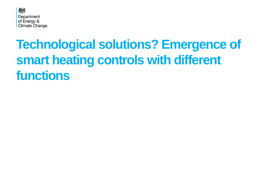

#### **Technological solutions? Emergence of smart heating controls with different functions**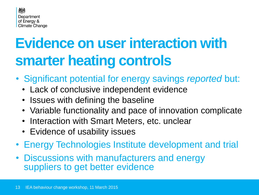

# **Evidence on user interaction with smarter heating controls**

- Significant potential for energy savings *reported* but:
	- Lack of conclusive independent evidence
	- Issues with defining the baseline
	- Variable functionality and pace of innovation complicate
	- Interaction with Smart Meters, etc. unclear
	- Evidence of usability issues
- Energy Technologies Institute development and trial
- Discussions with manufacturers and energy suppliers to get better evidence